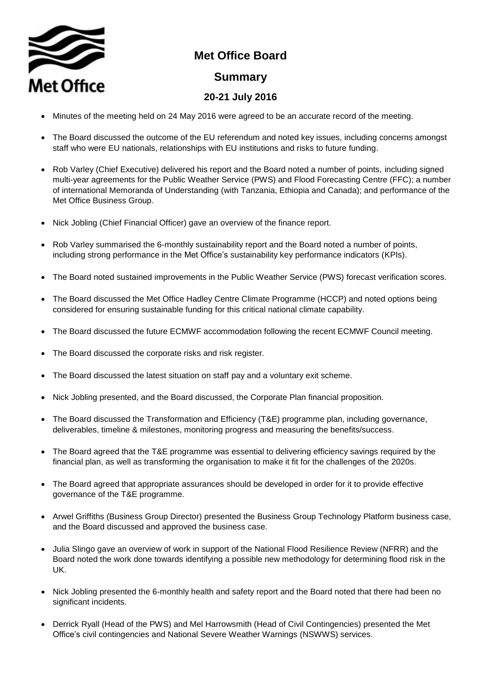

## **Met Office Board**

## **Summary**

## **20-21 July 2016**

- Minutes of the meeting held on 24 May 2016 were agreed to be an accurate record of the meeting.
- The Board discussed the outcome of the EU referendum and noted key issues, including concerns amongst staff who were EU nationals, relationships with EU institutions and risks to future funding.
- Rob Varley (Chief Executive) delivered his report and the Board noted a number of points, including signed multi-year agreements for the Public Weather Service (PWS) and Flood Forecasting Centre (FFC); a number of international Memoranda of Understanding (with Tanzania, Ethiopia and Canada); and performance of the Met Office Business Group.
- Nick Jobling (Chief Financial Officer) gave an overview of the finance report.
- Rob Varley summarised the 6-monthly sustainability report and the Board noted a number of points, including strong performance in the Met Office's sustainability key performance indicators (KPIs).
- The Board noted sustained improvements in the Public Weather Service (PWS) forecast verification scores.
- The Board discussed the Met Office Hadley Centre Climate Programme (HCCP) and noted options being considered for ensuring sustainable funding for this critical national climate capability.
- The Board discussed the future ECMWF accommodation following the recent ECMWF Council meeting.
- The Board discussed the corporate risks and risk register.
- The Board discussed the latest situation on staff pay and a voluntary exit scheme.
- Nick Jobling presented, and the Board discussed, the Corporate Plan financial proposition.
- The Board discussed the Transformation and Efficiency (T&E) programme plan, including governance, deliverables, timeline & milestones, monitoring progress and measuring the benefits/success.
- The Board agreed that the T&E programme was essential to delivering efficiency savings required by the financial plan, as well as transforming the organisation to make it fit for the challenges of the 2020s.
- The Board agreed that appropriate assurances should be developed in order for it to provide effective governance of the T&E programme.
- Arwel Griffiths (Business Group Director) presented the Business Group Technology Platform business case, and the Board discussed and approved the business case.
- Julia Slingo gave an overview of work in support of the National Flood Resilience Review (NFRR) and the Board noted the work done towards identifying a possible new methodology for determining flood risk in the UK.
- Nick Jobling presented the 6-monthly health and safety report and the Board noted that there had been no significant incidents.
- Derrick Ryall (Head of the PWS) and Mel Harrowsmith (Head of Civil Contingencies) presented the Met Office's civil contingencies and National Severe Weather Warnings (NSWWS) services.